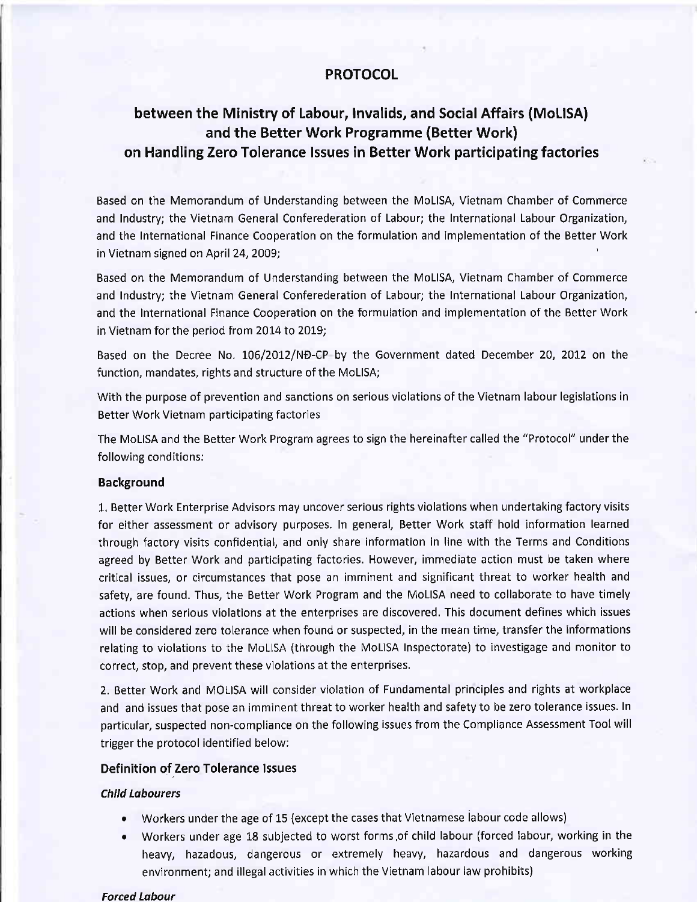### **PROTOCOL**

## between the Ministry of Labour, lnvalids, and Social Affairs (MoLlSA) and the Better Work Programme (Better Work) on Handling Zero Tolerance lssues in Better Work participating factories

Based on the Memorandum of Understanding between the MoLlSA, Vietnam Chamber of Commerce and Industry; the Vietnam General Conferederation of Labour; the International Labour Organization, and the International Finance Cooperation on the formulation and implementation of the Better Work in Vietnam signed on April 24, 2009;

Based on the Memorandum of Understanding between the MoLlSA, Vietnam Chamber of Commerce and Industry; the Vietnam General Conferederation of Labour; the International Labour Organization, and the International Finance Cooperation on the formulation and implementation of the Better Work in Vietnam for the period from 2014 to 2019;

Based on the Decree No. 106/2012/ND-CP by the Government dated December 20, 2012 on the function, mandates, rights and structure of the MoLISA;

With the purpose of prevention and sanctions on serious violations of the Vietnam labour legislations in Better Work Vietnam participating factories

The MoLISA and the Better Work Program agrees to sign the hereinafter called the "Protocol" under the following conditions:

#### Background

1. Better Work Enterprise Advisors may uncover serious rights violations when undertaking factory visits for either assessment or advisory purposes. In general, Better Work staff hold information learned through factory visits confidential, and only share information in line with the Terms and Conditions agreed by Better Work and participating factories. However, immediate action must be taken where critical issues, or circumstances that pose an imminent and significant threat to worker health and safety, are found. Thus, the Better Work Program and the MoLISA need to collaborate to have timely actions when serious violations at the enterprises are discovered. This document defines which issues will be considered zero tolerance when found or suspected, in the mean time, transfer the informations relating to violations to the MoLISA (through the MoLISA Inspectorate) to investigage and monitor to correct, stop, and prevent these violations at the enterprises.

2. Better Work and MOLISA will consider violation of Fundamental principles and rights at workplace and and issues that pose an imminent threat to worker health and safety to be zero tolerance issues. In particular, suspected non-compliance on the following issues from the Compliance Assessment Tool will trigger the protocol identified below:

#### Definition of Zero Tolerance Issues

#### child Lobourcrs

- . Workers under the age of 15 (except the cases that Vietnamese iabour code allows)
- o Workers under age 18 subjected to worst forms,of child labour (forced labour, working in the heavy, hazadous, dangerous or extremely heavy, hazardous and dangerous working environment; and illegal activities in which the Vietnam labour law prohibits)

#### Forced Labour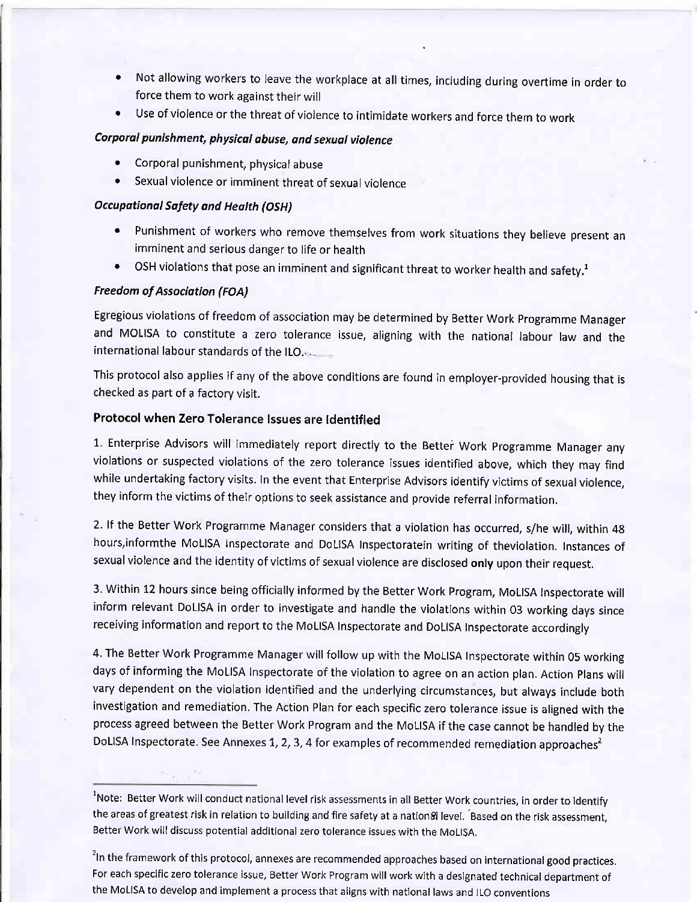- ' Not allowing workers to leave the workplace at all times, including during overtime in order to force them to work against their will
- . Use of violence or the threat of violence to intimidate workers and force them to work

### Corporal punishment, physical abuse, and sexual violence

- Corporal punishment, physical abuse
- . Sexual violence or imminent threat of sexual violence

#### Occupotionol Sofety ond Heolth (OSH)

- Punishment of workers who remove themselves from work situations they believe present an imminent and serious danger to Iife or health
- OSH violations that pose an imminent and significant threat to worker health and safety.<sup>1</sup>

#### Freedom of Association (FOA)

Egregious violations of freedom of association may be determined by Better Work programme Manager and MoLISA to constitute a zero tolerance issue, aligning with the national labour law and the international labour standards of the ILO.

This protocol also applies if any of the above conditions are found in employer-provided housing that is checked as part of a factory visit.

### Protocol when Zero Tolerance lssues are ldentified

1. Enterprise Advisors will immediately report directly to the Better Work Programme Manager any violations or suspected violations of the zero tolerance issues identified above, which they may find while undertaking factory visits. In the event that Enterprise Advisors identify victims of sexual violence, they inform the victims of their options to seek assistance and provide referral information.

2. lf the Better Work Programme Manager considers that a violation has occurred, s/he will, within 4g hours,informthe MoLISA Inspectorate and DoLISA Inspectoratein writing of theviolation. Instances of sexual violence and the identity of victims of sexual violence are disclosed only upon their request.

3 Within 12 hours since being officially informed by the Better Work Program, MoLISA Inspectorate will inform relevant DoLISA in order to investigate and handle the violations within 03 working days since receiving information and report to the MoLISA Inspectorate and DoLISA Inspectorate accordingly

4. The Better Work Programme Manager will follow up with the MoLISA Inspectorate within 05 working days of informing the MoLISA lnspectorate of the violation to agree on an action plan. Action plans will vary dependent on the violation identified and the underlying circumstances, but always include both investigation and remediation. The Action Plan for each specific zero tolerance issue is aligned with the process agreed between the Better Work Program and the MoLISA if the case cannot be handled by the DoLISA Inspectorate. See Annexes 1, 2, 3, 4 for examples of recommended remediation approaches<sup>2</sup>

<sup>&</sup>lt;sup>1</sup>Note: Better Work will conduct national level risk assessments in all Better Work countries, in order to identify the areas of greatest risk in relation to building and fire safety at a nation&l level. Based on the risk assessment, Better Work will discuss potential additional zero tolerance issues with the MoLlSA.

<sup>&</sup>lt;sup>2</sup>In the framework of this protocol, annexes are recommended approaches based on international good practices. For each specific zero tolerance issue, Better work program will work with a designated technical department of the MoLlsA to develop and implement a process that aligns with national laws and lLo conventions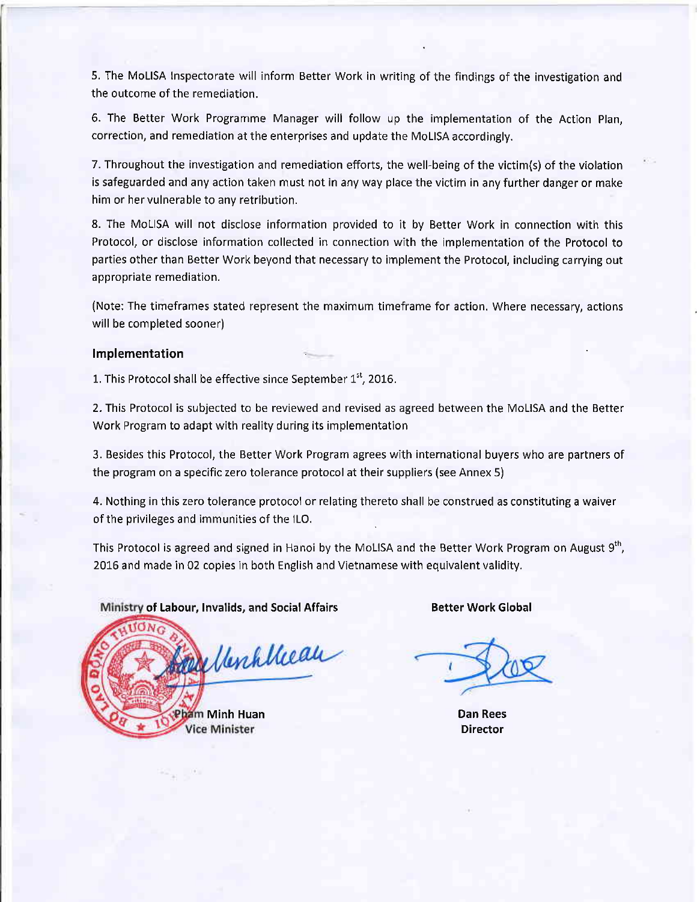5. The MoLISA Inspectorate will inform Better Work in writing of the findings of the investigation and the outcome of the remediation.

6. The Better Work Programme Manager will follow up the implementation of the Action Plan, correction, and remediation at the enterprises and update the MoLISA accordingly.

7. Throughout the investigation and remediation efforts, the well-being of the victim(s) of the violation is safeguarded and any action taken must not in any way place the victim in any further danger or make him or her vulnerable to any retribution.

8. The MoLISA will not disclose information provided to it by Better Work in connection with this Protocol, or disclose information collected in connection with the implementation of the Protocol to parties other than Better Work beyond that necessary to implement the Protocol, including carrying out appropriate remediation.

(Note: The timeframes stated represent the maximum timeframe for action. Where necessary, actions will be completed sooner)

#### lmplementation

1. This Protocol shall be effective since September  $1<sup>st</sup>$ , 2016.

2. This Protocol is subjected to be reviewed and revised as agreed between the MoLISA and the Better Work Program to adapt with reality during its implementation

3. Besides this Protocol, the Better Work Program agrees with international buyers who are partners of the program on a specific zero tolerance protocol at their suppliers (see Annex 5)

4. Nothing in this zero tolerance protocol or relating thereto shall be construed as constituting a waiver of the privileges and immunities of the lLO.

This Protocol is agreed and signed in Hanoi by the MoLISA and the Better Work Program on August 9<sup>th</sup>, 2016 and made in 02 copies in both English and Vietnamese with equivalent validity.

Ministry of Labour, Invalids, and Social Affairs

Werkheau ham Minh Huan ce Minister

Better Work Global

Dan Rees Director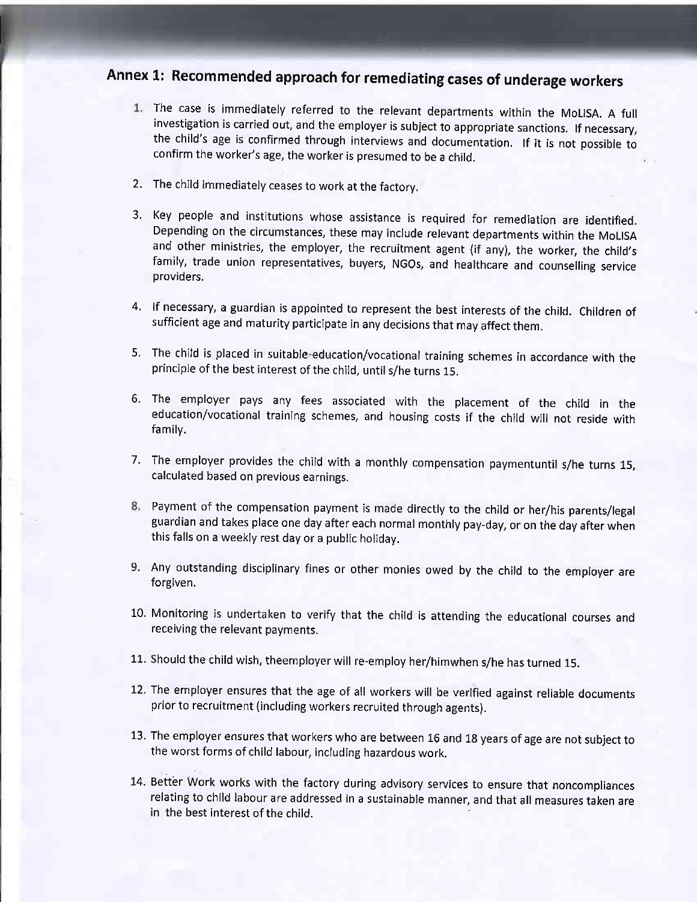# Annex 1: Recommended approach for remediating cases of underage workers

- 1. The case is immediately referred to the relevant departments within the MoLISA. A full investigation is carried out, and the employer is subject to appropriate sanctions. If necessary, the child's age is confirmed through interviews and documentation. lf it is not possible to confirm the worker's age, the worker is presumed to be a child.
- 2. The child immediately ceases to work at the factory.
- 3. Key people and institutions whose assistance is required for remediation are identified Depending on the circumstances, these may include relevant departments within the MoLISA and other ministries, the employer, the recruitment agent (if any), the worker, the child's family, trade union representatives, buyers, NGos, and healthcare and counseling service providers.
- 4. If necessary, a guardian is appointed to represent the best interests of the child. Children of sufficient age and maturity participate in any decisions that may affect them.
- 5. The child is placed in suitable-education/vocational training schemes in accordance with the principle of the best interest of the child, until s/he turns 15.
- 6. The employer pays any fees associated with the placement of the child in the education/vocational training schemes, and housing costs if the child will not reside with familv.
- The employer provides the child with a monthly compensation paymentuntil s/he turns 15, 7. calculated based on previous earnings.
- Payment of the compensation payment is made directly to the child or her/his parents/legal guardian and takes place one day after each normal monthly pay-day, or on the day after when this falls on a weekly rest day or a public holiday.
- Any outstanding disciplinary fines or other monies owed by the child to the employer are 9. forgiven.
- L0. Monitoring is undertaken to verify that the child is attending the educational courses and receiving the relevant payments.
- 11. Should the child wish, theemployer will re-employ her/himwhen s/he has turned 15.
- 12. The employer ensures that the age of all workers will be verified against reliable documents prior to recruitment (including workers recruited through agents).
- 13. The employer ensures that workers who are between 16 and 18 years of age are not subject to the worst forms of child labour, including hazardous work.
- 14. Better Work works with the factory during advisory services to ensure that noncompliances relating to child labour are addressed in a sustainable manner, and that all measures taken are in the best interest of the child.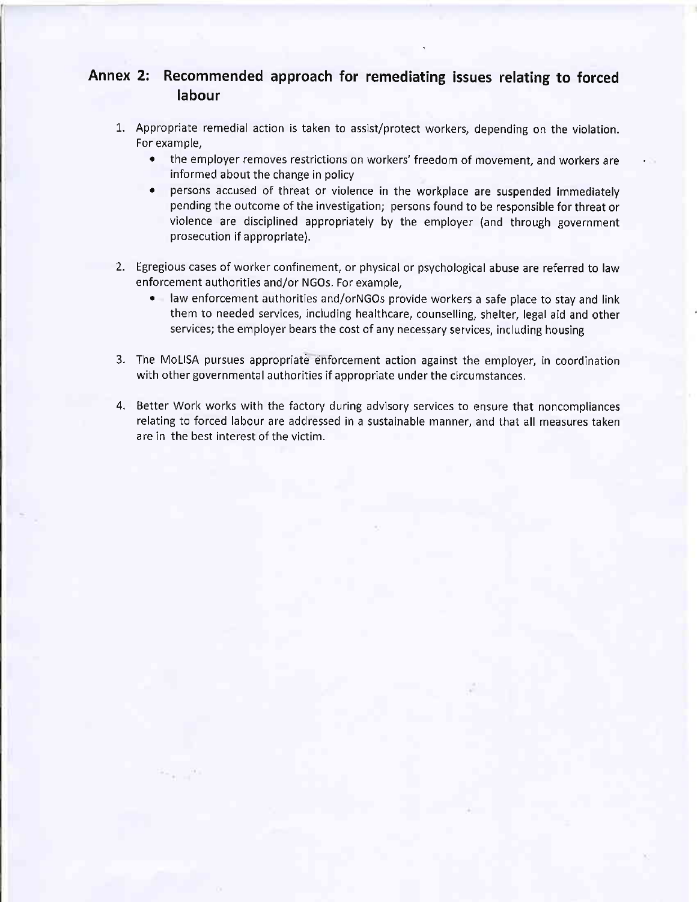### Annex 2: Recommended approach for remediating issues relating to forced labour

- L. Appropriate remedial action is taken to assist/protect workers, depending on the violation. For example,
	- . the employer removes restrictions on workers'freedom of movement, and workers are informed about the change in policy
	- . persons accused of threat or violence in the workplace are suspended immediately pending the outcome of the investigation; persons found to be responsible for threat or violence are disciplined appropriately by the employer (and through government prosecution if appropriate).
- 2. Egregious cases of worker confinement, or physical or psychological abuse are referred to law enforcement authorities and/or NGOs. For example,
	- law enforcement authorities and/orNGOs provide workers a safe place to stay and link them to needed services, including healthcare, counselling, shelter, legal aid and other services; the employer bears the cost of any necessary services, including housing
- 3. The MoLISA pursues appropriate enforcement action against the employer, in coordination with other governmental authorities if appropriate under the circumstances.
- 4. Better Work works with the factory during advisory services to ensure that noncompliances relating to forced labour are addressed in a sustainable manner, and that all measures taken are in the best interest of the victim.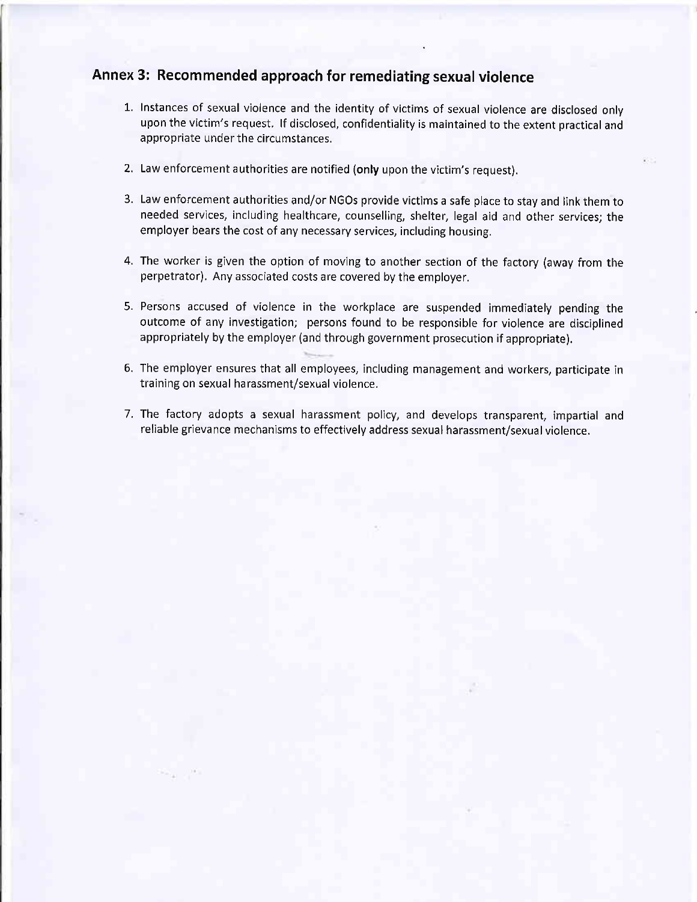## Annex 3: Recommended approach for remediating sexual violence

- 1. Instances of sexual violence and the identity of victims of sexual violence are disclosed onlv upon the victim's request. If disclosed, confidentiality is maintained to the extent practical and appropriate under the circumstances.
- 2. Law enforcement authorities are notified (only upon the victim's request).
- 3. Law enforcement authorities and/or NGOs provide victims a safe place to stay and link them to needed services, including healthcare, counselling, shelter, legal aid and other services; the employer bears the cost of any necessary services, including housing.
- 4. The worker is given the option of moving to another section of the factory (away from the perpetrator). Any associated costs are covered by the employer.
- 5. Persons accused of violence in the workplace are suspended immediately pending the outcome of any investigation; persons found to be responsible for violence are disciplined appropriately by the employer (and through government prosecution if appropriate).
- 6. The employer ensures that all employees, including management and workers, participate in training on sexual harassment/sexual violence.
- 7. The factory adopts a sexual harassment policy, and develops transparent, impartial and reliable grievance mechanisms to effectively address sexual harassment/sexual violence.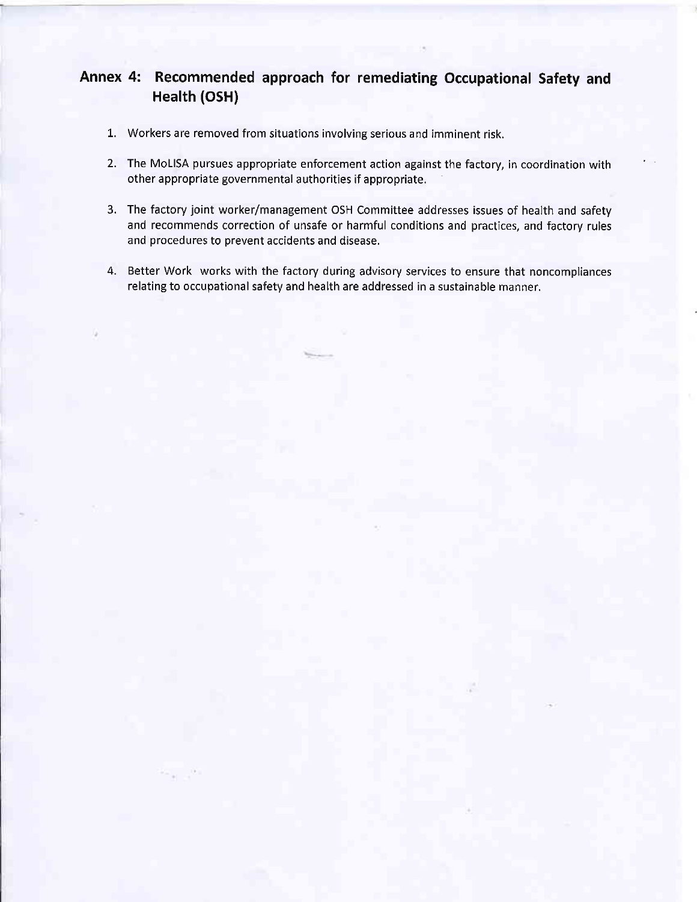### Annex 4: Recommended approach for remediating Occupational Safety and Health (oSH)

- L. Workers are removed from situations involving serious and imminent risk.
- 2. The MoLISA pursues appropriate enforcement action against the factory, in coordination with other appropriate governmental authorities if appropriate.
- 3. The factory joint worker/management OSH Committee addresses issues of health and safety and recommends correction of unsafe or harmful conditions and practices, and factory rules and procedures to prevent accidents and disease.
- 4. Better Work works with the factory during advisory services to ensure that noncompliances relating to occupational safety and health are addressed in a sustainable manner.